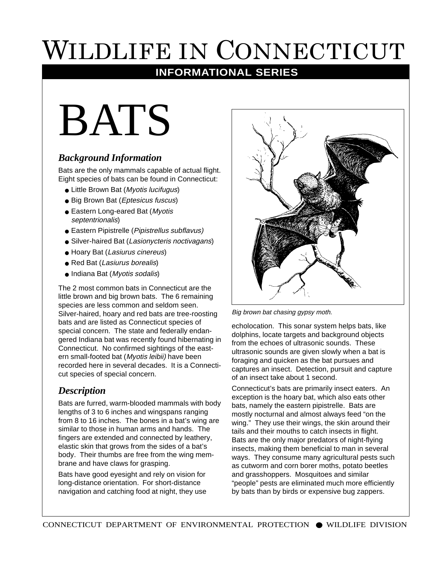# WILDLIFE IN CONNECTICUT

# **INFORMATIONAL SERIES**

# BATS

# *Background Information*

Bats are the only mammals capable of actual flight. Eight species of bats can be found in Connecticut:

- Little Brown Bat (Myotis lucifugus)
- Big Brown Bat (Eptesicus fuscus)
- Eastern Long-eared Bat (Myotis septentrionalis)
- Eastern Pipistrelle (Pipistrellus subflavus)
- Silver-haired Bat (Lasionycteris noctivagans)
- Hoary Bat (Lasiurus cinereus)
- Red Bat (Lasiurus borealis)
- Indiana Bat (Myotis sodalis)

The 2 most common bats in Connecticut are the little brown and big brown bats. The 6 remaining species are less common and seldom seen. Silver-haired, hoary and red bats are tree-roosting bats and are listed as Connecticut species of special concern. The state and federally endangered Indiana bat was recently found hibernating in Connecticut. No confirmed sightings of the eastern small-footed bat (Myotis leibii) have been recorded here in several decades. It is a Connecticut species of special concern.

# *Description*

Bats are furred, warm-blooded mammals with body lengths of 3 to 6 inches and wingspans ranging from 8 to 16 inches. The bones in a bat's wing are similar to those in human arms and hands. The fingers are extended and connected by leathery, elastic skin that grows from the sides of a bat's body. Their thumbs are free from the wing membrane and have claws for grasping.

Bats have good eyesight and rely on vision for long-distance orientation. For short-distance navigation and catching food at night, they use



Big brown bat chasing gypsy moth.

echolocation. This sonar system helps bats, like dolphins, locate targets and background objects from the echoes of ultrasonic sounds. These ultrasonic sounds are given slowly when a bat is foraging and quicken as the bat pursues and captures an insect. Detection, pursuit and capture of an insect take about 1 second.

Connecticut's bats are primarily insect eaters. An exception is the hoary bat, which also eats other bats, namely the eastern pipistrelle. Bats are mostly nocturnal and almost always feed "on the wing." They use their wings, the skin around their tails and their mouths to catch insects in flight. Bats are the only major predators of night-flying insects, making them beneficial to man in several ways. They consume many agricultural pests such as cutworm and corn borer moths, potato beetles and grasshoppers. Mosquitoes and similar "people" pests are eliminated much more efficiently by bats than by birds or expensive bug zappers.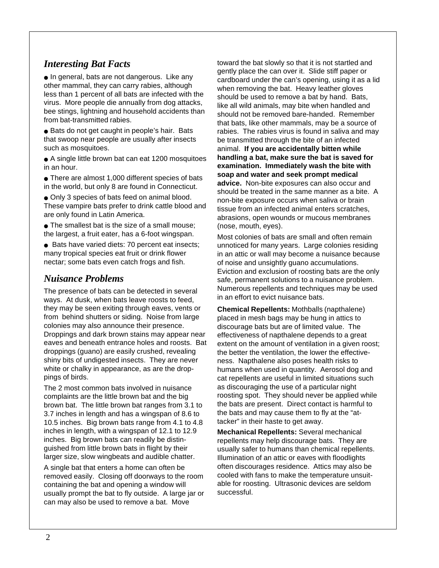# *Interesting Bat Facts*

● In general, bats are not dangerous. Like any other mammal, they can carry rabies, although less than 1 percent of all bats are infected with the virus. More people die annually from dog attacks, bee stings, lightning and household accidents than from bat-transmitted rabies.

● Bats do not get caught in people's hair. Bats that swoop near people are usually after insects such as mosquitoes.

• A single little brown bat can eat 1200 mosquitoes in an hour.

• There are almost 1,000 different species of bats in the world, but only 8 are found in Connecticut.

● Only 3 species of bats feed on animal blood. These vampire bats prefer to drink cattle blood and are only found in Latin America.

• The smallest bat is the size of a small mouse; the largest, a fruit eater, has a 6-foot wingspan.

● Bats have varied diets: 70 percent eat insects; many tropical species eat fruit or drink flower nectar; some bats even catch frogs and fish.

# *Nuisance Problems*

The presence of bats can be detected in several ways. At dusk, when bats leave roosts to feed, they may be seen exiting through eaves, vents or from behind shutters or siding. Noise from large colonies may also announce their presence. Droppings and dark brown stains may appear near eaves and beneath entrance holes and roosts. Bat droppings (guano) are easily crushed, revealing shiny bits of undigested insects. They are never white or chalky in appearance, as are the droppings of birds.

The 2 most common bats involved in nuisance complaints are the little brown bat and the big brown bat. The little brown bat ranges from 3.1 to 3.7 inches in length and has a wingspan of 8.6 to 10.5 inches. Big brown bats range from 4.1 to 4.8 inches in length, with a wingspan of 12.1 to 12.9 inches. Big brown bats can readily be distinguished from little brown bats in flight by their larger size, slow wingbeats and audible chatter.

A single bat that enters a home can often be removed easily. Closing off doorways to the room containing the bat and opening a window will usually prompt the bat to fly outside. A large jar or can may also be used to remove a bat. Move

toward the bat slowly so that it is not startled and gently place the can over it. Slide stiff paper or cardboard under the can's opening, using it as a lid when removing the bat. Heavy leather gloves should be used to remove a bat by hand. Bats, like all wild animals, may bite when handled and should not be removed bare-handed. Remember that bats, like other mammals, may be a source of rabies. The rabies virus is found in saliva and may be transmitted through the bite of an infected animal. **If you are accidentally bitten while handling a bat, make sure the bat is saved for examination. Immediately wash the bite with soap and water and seek prompt medical advice.** Non-bite exposures can also occur and should be treated in the same manner as a bite. A non-bite exposure occurs when saliva or brain tissue from an infected animal enters scratches, abrasions, open wounds or mucous membranes (nose, mouth, eyes).

Most colonies of bats are small and often remain unnoticed for many years. Large colonies residing in an attic or wall may become a nuisance because of noise and unsightly guano accumulations. Eviction and exclusion of roosting bats are the only safe, permanent solutions to a nuisance problem. Numerous repellents and techniques may be used in an effort to evict nuisance bats.

**Chemical Repellents:** Mothballs (napthalene) placed in mesh bags may be hung in attics to discourage bats but are of limited value. The effectiveness of napthalene depends to a great extent on the amount of ventilation in a given roost; the better the ventilation, the lower the effectiveness. Napthalene also poses health risks to humans when used in quantity. Aerosol dog and cat repellents are useful in limited situations such as discouraging the use of a particular night roosting spot. They should never be applied while the bats are present. Direct contact is harmful to the bats and may cause them to fly at the "attacker" in their haste to get away.

**Mechanical Repellents:** Several mechanical repellents may help discourage bats. They are usually safer to humans than chemical repellents. Illumination of an attic or eaves with floodlights often discourages residence. Attics may also be cooled with fans to make the temperature unsuitable for roosting. Ultrasonic devices are seldom successful.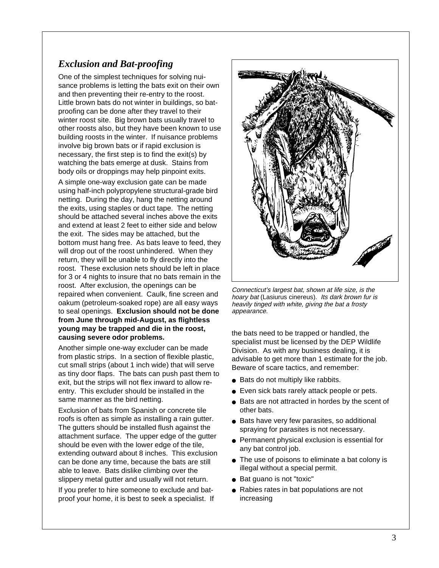# *Exclusion and Bat-proofing*

One of the simplest techniques for solving nuisance problems is letting the bats exit on their own and then preventing their re-entry to the roost. Little brown bats do not winter in buildings, so batproofing can be done after they travel to their winter roost site. Big brown bats usually travel to other roosts also, but they have been known to use building roosts in the winter. If nuisance problems involve big brown bats or if rapid exclusion is necessary, the first step is to find the exit(s) by watching the bats emerge at dusk. Stains from body oils or droppings may help pinpoint exits.

A simple one-way exclusion gate can be made using half-inch polypropylene structural-grade bird netting. During the day, hang the netting around the exits, using staples or duct tape. The netting should be attached several inches above the exits and extend at least 2 feet to either side and below the exit. The sides may be attached, but the bottom must hang free. As bats leave to feed, they will drop out of the roost unhindered. When they return, they will be unable to fly directly into the roost. These exclusion nets should be left in place for 3 or 4 nights to insure that no bats remain in the roost. After exclusion, the openings can be repaired when convenient. Caulk, fine screen and oakum (petroleum-soaked rope) are all easy ways to seal openings. **Exclusion should not be done from June through mid-August, as flightless young may be trapped and die in the roost, causing severe odor problems.**

Another simple one-way excluder can be made from plastic strips. In a section of flexible plastic, cut small strips (about 1 inch wide) that will serve as tiny door flaps. The bats can push past them to exit, but the strips will not flex inward to allow reentry. This excluder should be installed in the same manner as the bird netting.

Exclusion of bats from Spanish or concrete tile roofs is often as simple as installing a rain gutter. The gutters should be installed flush against the attachment surface. The upper edge of the gutter should be even with the lower edge of the tile, extending outward about 8 inches. This exclusion can be done any time, because the bats are still able to leave. Bats dislike climbing over the slippery metal gutter and usually will not return.

If you prefer to hire someone to exclude and batproof your home, it is best to seek a specialist. If



Connecticut's largest bat, shown at life size, is the hoary bat (Lasiurus cinereus). Its dark brown fur is heavily tinged with white, giving the bat a frosty appearance.

the bats need to be trapped or handled, the specialist must be licensed by the DEP Wildlife Division. As with any business dealing, it is advisable to get more than 1 estimate for the job. Beware of scare tactics, and remember:

- Bats do not multiply like rabbits.
- Even sick bats rarely attack people or pets.
- Bats are not attracted in hordes by the scent of other bats.
- Bats have very few parasites, so additional spraying for parasites is not necessary.
- Permanent physical exclusion is essential for any bat control job.
- The use of poisons to eliminate a bat colony is illegal without a special permit.
- Bat guano is not "toxic"
- Rabies rates in bat populations are not increasing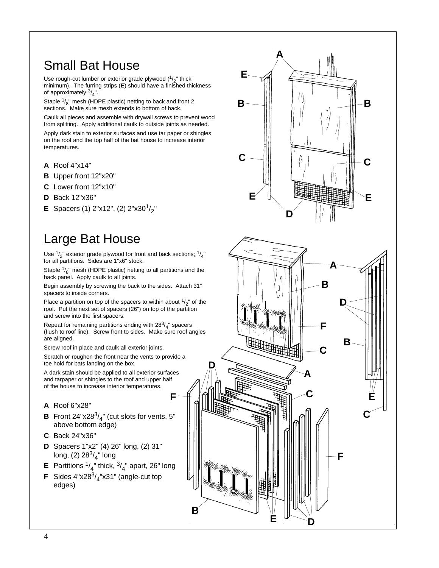# Small Bat House

Use rough-cut lumber or exterior grade plywood  $(^{1}/_{2}$ " thick minimum). The furring strips (**E**) should have a finished thickness of approximately  $\frac{3}{4}$ ".

Staple <sup>1</sup>/<sub>8</sub>" mesh (HDPE plastic) netting to back and front 2<br>sections. Make sure mesh extends to bottom of back.

Caulk all pieces and assemble with drywall screws to prevent wood from splitting. Apply additional caulk to outside joints as needed.

Apply dark stain to exterior surfaces and use tar paper or shingles on the roof and the top half of the bat house to increase interior temperatures.

- **A** Roof 4"x14"
- **B** Upper front 12"x20"
- **C** Lower front 12"x10"
- **D** Back 12"x36"
- **E** Spacers (1)  $2"x12"$ , (2)  $2"x30<sup>1</sup>/2"$

# Large Bat House

Use  $\frac{1}{2}$ " exterior grade plywood for front and back sections;  $\frac{1}{4}$ " for all partitions. Sides are 1"x6" stock.

Staple  $\frac{1}{8}$ " mesh (HDPE plastic) netting to all partitions and the back panel. Apply caulk to all joints.

Begin assembly by screwing the back to the sides. Attach 31" spacers to inside corners.

Place a partition on top of the spacers to within about  $\frac{1}{2}$ " of the roof. Put the next set of spacers (26") on top of the partition and screw into the first spacers.

Repeat for remaining partitions ending with  $28^3/\frac{1}{4}$ " spacers (flush to roof line). Screw front to sides. Make sure roof angles are aligned.

Screw roof in place and caulk all exterior joints.

Scratch or roughen the front near the vents to provide a toe hold for bats landing on the box.

A dark stain should be applied to all exterior surfaces and tarpaper or shingles to the roof and upper half of the house to increase interior temperatures.

#### **A** Roof 6"x28"

- **B** Front 24"x28 $\frac{3}{4}$ " (cut slots for vents, 5" above bottom edge)
- **C** Back 24"x36"
- **D** Spacers 1"x2" (4) 26" long, (2) 31" long, (2) 28 $\frac{3}{4}$ " long
- **E** Partitions  $\frac{1}{4}$ " thick,  $\frac{3}{4}$ " apart, 26" long

**B**

**F**

**F** Sides  $4"x28^3/4"x31"$  (angle-cut top edges)

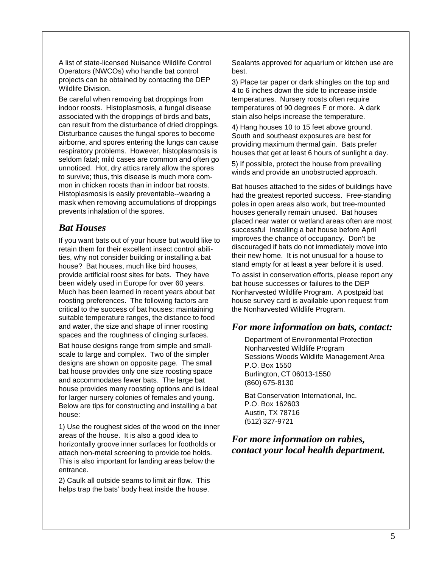A list of state-licensed Nuisance Wildlife Control Operators (NWCOs) who handle bat control projects can be obtained by contacting the DEP Wildlife Division.

Be careful when removing bat droppings from indoor roosts. Histoplasmosis, a fungal disease associated with the droppings of birds and bats, can result from the disturbance of dried droppings. Disturbance causes the fungal spores to become airborne, and spores entering the lungs can cause respiratory problems. However, histoplasmosis is seldom fatal; mild cases are common and often go unnoticed. Hot, dry attics rarely allow the spores to survive; thus, this disease is much more common in chicken roosts than in indoor bat roosts. Histoplasmosis is easily preventable--wearing a mask when removing accumulations of droppings prevents inhalation of the spores.

### *Bat Houses*

If you want bats out of your house but would like to retain them for their excellent insect control abilities, why not consider building or installing a bat house? Bat houses, much like bird houses, provide artificial roost sites for bats. They have been widely used in Europe for over 60 years. Much has been learned in recent years about bat roosting preferences. The following factors are critical to the success of bat houses: maintaining suitable temperature ranges, the distance to food and water, the size and shape of inner roosting spaces and the roughness of clinging surfaces.

Bat house designs range from simple and smallscale to large and complex. Two of the simpler designs are shown on opposite page. The small bat house provides only one size roosting space and accommodates fewer bats. The large bat house provides many roosting options and is ideal for larger nursery colonies of females and young. Below are tips for constructing and installing a bat house:

1) Use the roughest sides of the wood on the inner areas of the house. It is also a good idea to horizontally groove inner surfaces for footholds or attach non-metal screening to provide toe holds. This is also important for landing areas below the entrance.

2) Caulk all outside seams to limit air flow. This helps trap the bats' body heat inside the house.

Sealants approved for aquarium or kitchen use are best.

3) Place tar paper or dark shingles on the top and 4 to 6 inches down the side to increase inside temperatures. Nursery roosts often require temperatures of 90 degrees F or more. A dark stain also helps increase the temperature.

4) Hang houses 10 to 15 feet above ground. South and southeast exposures are best for providing maximum thermal gain. Bats prefer houses that get at least 6 hours of sunlight a day.

5) If possible, protect the house from prevailing winds and provide an unobstructed approach.

Bat houses attached to the sides of buildings have had the greatest reported success. Free-standing poles in open areas also work, but tree-mounted houses generally remain unused. Bat houses placed near water or wetland areas often are most successful Installing a bat house before April improves the chance of occupancy. Don't be discouraged if bats do not immediately move into their new home. It is not unusual for a house to stand empty for at least a year before it is used.

To assist in conservation efforts, please report any bat house successes or failures to the DEP Nonharvested Wildlife Program. A postpaid bat house survey card is available upon request from the Nonharvested Wildlife Program.

#### *For more information on bats, contact:*

Department of Environmental Protection Nonharvested Wildlife Program Sessions Woods Wildlife Management Area P.O. Box 1550 Burlington, CT 06013-1550 (860) 675-8130

Bat Conservation International, Inc. P.O. Box 162603 Austin, TX 78716 (512) 327-9721

#### *For more information on rabies, contact your local health department.*